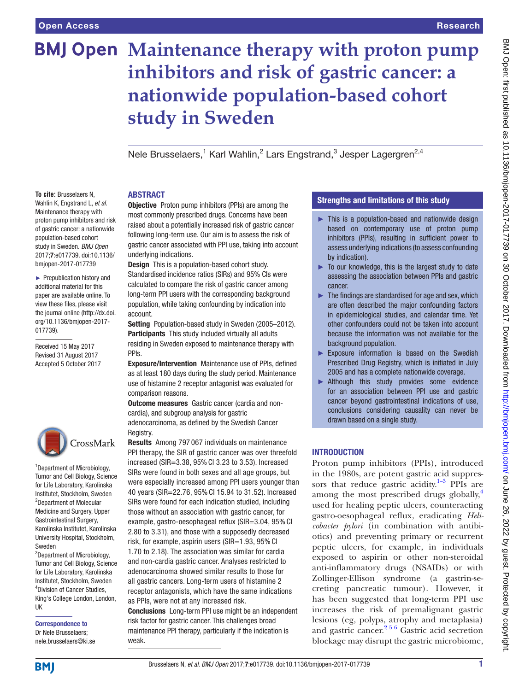**To cite:** Brusselaers N, Wahlin K, Engstrand L, *et al*. Maintenance therapy with proton pump inhibitors and risk of gastric cancer: a nationwide population-based cohort study in Sweden. *BMJ Open* 2017;7:e017739. doi:10.1136/ bmjopen-2017-017739 ► Prepublication history and additional material for this paper are available online. To view these files, please visit the journal online [\(http://dx.doi.](http://dx.doi.org/10.1136/bmjopen-2017-017739) [org/10.1136/bmjopen-2017-](http://dx.doi.org/10.1136/bmjopen-2017-017739)

[017739\)](http://dx.doi.org/10.1136/bmjopen-2017-017739).

Received 15 May 2017 Revised 31 August 2017 Accepted 5 October 2017

1 Department of Microbiology, Tumor and Cell Biology, Science for Life Laboratory, Karolinska Institutet, Stockholm, Sweden <sup>2</sup>Department of Molecular Medicine and Surgery, Upper Gastrointestinal Surgery, Karolinska Institutet, Karolinska University Hospital, Stockholm,

CrossMark

<sup>3</sup>Department of Microbiology, Tumor and Cell Biology, Science for Life Laboratory, Karolinska Institutet, Stockholm, Sweden 4 Division of Cancer Studies, King's College London, London,

# **BMJ Open Maintenance therapy with proton pump inhibitors and risk of gastric cancer: a nationwide population-based cohort study in Sweden**

Nele Brusselaers,<sup>1</sup> Karl Wahlin,<sup>2</sup> Lars Engstrand,<sup>3</sup> Jesper Lagergren<sup>2,4</sup>

## **ABSTRACT**

Objective Proton pump inhibitors (PPIs) are among the most commonly prescribed drugs. Concerns have been raised about a potentially increased risk of gastric cancer following long-term use. Our aim is to assess the risk of gastric cancer associated with PPI use, taking into account underlying indications.

Design This is a population-based cohort study. Standardised incidence ratios (SIRs) and 95% CIs were calculated to compare the risk of gastric cancer among long-term PPI users with the corresponding background population, while taking confounding by indication into account.

Setting Population-based study in Sweden (2005-2012). Participants This study included virtually all adults residing in Sweden exposed to maintenance therapy with PPIs.

Exposure/Intervention Maintenance use of PPIs, defined as at least 180 days during the study period. Maintenance use of histamine 2 receptor antagonist was evaluated for comparison reasons.

Outcome measures Gastric cancer (cardia and noncardia), and subgroup analysis for gastric adenocarcinoma, as defined by the Swedish Cancer Registry.

Results Among 797 067 individuals on maintenance PPI therapy, the SIR of gastric cancer was over threefold increased (SIR=3.38, 95% CI 3.23 to 3.53). Increased SIRs were found in both sexes and all age groups, but were especially increased among PPI users younger than 40 years (SIR=22.76, 95% CI 15.94 to 31.52). Increased SIRs were found for each indication studied, including those without an association with gastric cancer, for example, gastro-oesophageal reflux (SIR=3.04, 95% CI 2.80 to 3.31), and those with a supposedly decreased risk, for example, aspirin users (SIR=1.93, 95% CI

1.70 to 2.18). The association was similar for cardia and non-cardia gastric cancer. Analyses restricted to adenocarcinoma showed similar results to those for all gastric cancers. Long-term users of histamine 2 receptor antagonists, which have the same indications as PPIs, were not at any increased risk.

Conclusions Long-term PPI use might be an independent risk factor for gastric cancer. This challenges broad maintenance PPI therapy, particularly if the indication is weak.

# Strengths and limitations of this study

- $\blacktriangleright$  This is a population-based and nationwide design based on contemporary use of proton pump inhibitors (PPIs), resulting in sufficient power to assess underlying indications (to assess confounding by indication).
- ► To our knowledge, this is the largest study to date assessing the association between PPIs and gastric cancer.
- $\blacktriangleright$  The findings are standardised for age and sex, which are often described the major confounding factors in epidemiological studies, and calendar time. Yet other confounders could not be taken into account because the information was not available for the background population.
- ► Exposure information is based on the Swedish Prescribed Drug Registry, which is initiated in July 2005 and has a complete nationwide coverage.
- ▶ Although this study provides some evidence for an association between PPI use and gastric cancer beyond gastrointestinal indications of use, conclusions considering causality can never be drawn based on a single study.

# **INTRODUCTION**

Proton pump inhibitors (PPIs), introduced in the 1980s, are potent gastric acid suppressors that reduce gastric acidity. $1-3$  PPIs are among the most prescribed drugs globally, $4$ used for healing peptic ulcers, counteracting gastro-oesophageal reflux, eradicating *Helicobacter pylori* (in combination with antibiotics) and preventing primary or recurrent peptic ulcers, for example, in individuals exposed to aspirin or other non-steroidal anti-inflammatory drugs (NSAIDs) or with Zollinger-Ellison syndrome (a gastrin-secreting pancreatic tumour). However, it has been suggested that long-term PPI use increases the risk of premalignant gastric lesions (eg, polyps, atrophy and metaplasia) and gastric cancer.[2 5 6](#page-7-2) Gastric acid secretion blockage may disrupt the gastric microbiome,

nele.brusselaers@ki.se

Correspondence to Dr Nele Brusselaers;

Sweden

UK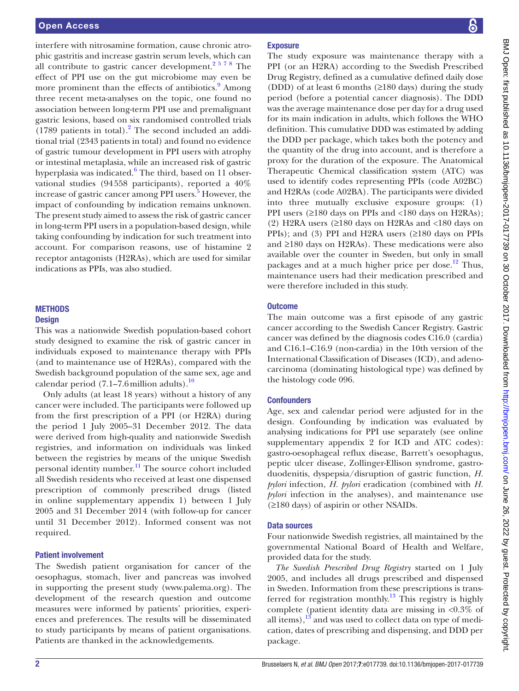interfere with nitrosamine formation, cause chronic atrophic gastritis and increase gastrin serum levels, which can all contribute to gastric cancer development. $2578$  The effect of PPI use on the gut microbiome may even be more prominent than the effects of antibiotics.<sup>[9](#page-7-3)</sup> Among three recent meta-analyses on the topic, one found no association between long-term PPI use and premalignant gastric lesions, based on six randomised controlled trials  $(1789 \text{ patients in total})$ .<sup>[2](#page-7-2)</sup> The second included an additional trial (2343 patients in total) and found no evidence of gastric tumour development in PPI users with atrophy or intestinal metaplasia, while an increased risk of gastric hyperplasia was indicated.<sup>[6](#page-7-4)</sup> The third, based on 11 observational studies (94558 participants), reported a 40% increase of gastric cancer among PPI users. [5](#page-7-5) However, the impact of confounding by indication remains unknown. The present study aimed to assess the risk of gastric cancer in long-term PPI users in a population-based design, while taking confounding by indication for such treatment into account. For comparison reasons, use of histamine 2 receptor antagonists (H2RAs), which are used for similar indications as PPIs, was also studied.

# **METHODS**

# **Design**

This was a nationwide Swedish population-based cohort study designed to examine the risk of gastric cancer in individuals exposed to maintenance therapy with PPIs (and to maintenance use of H2RAs), compared with the Swedish background population of the same sex, age and calendar period  $(7.1–7.6$ million adults).<sup>10</sup>

Only adults (at least 18 years) without a history of any cancer were included. The participants were followed up from the first prescription of a PPI (or H2RA) during the period 1 July 2005–31 December 2012. The data were derived from high-quality and nationwide Swedish registries, and information on individuals was linked between the registries by means of the unique Swedish personal identity number.<sup>11</sup> The source cohort included all Swedish residents who received at least one dispensed prescription of commonly prescribed drugs (listed in online [supplementary](https://dx.doi.org/10.1136/bmjopen-2017-017739) appendix 1) between 1 July 2005 and 31 December 2014 (with follow-up for cancer until 31 December 2012). Informed consent was not required.

### Patient involvement

The Swedish patient organisation for cancer of the oesophagus, stomach, liver and pancreas was involved in supporting the present study (<www.palema.org>). The development of the research question and outcome measures were informed by patients' priorities, experiences and preferences. The results will be disseminated to study participants by means of patient organisations. Patients are thanked in the acknowledgements.

# **Exposure**

The study exposure was maintenance therapy with a PPI (or an H2RA) according to the Swedish Prescribed Drug Registry, defined as a cumulative defined daily dose (DDD) of at least 6 months (≥180 days) during the study period (before a potential cancer diagnosis). The DDD was the average maintenance dose per day for a drug used for its main indication in adults, which follows the WHO definition. This cumulative DDD was estimated by adding the DDD per package, which takes both the potency and the quantity of the drug into account, and is therefore a proxy for the duration of the exposure. The Anatomical Therapeutic Chemical classification system (ATC) was used to identify codes representing PPIs (code A02BC) and H2RAs (code A02BA). The participants were divided into three mutually exclusive exposure groups: (1) PPI users (≥180 days on PPIs and <180 days on H2RAs); (2) H2RA users  $(≥180$  days on H2RAs and  $≤180$  days on PPIs); and (3) PPI and H2RA users (≥180 days on PPIs and ≥180 days on H2RAs). These medications were also available over the counter in Sweden, but only in small packages and at a much higher price per dose.<sup>[12](#page-7-8)</sup> Thus, maintenance users had their medication prescribed and were therefore included in this study.

## **Outcome**

The main outcome was a first episode of any gastric cancer according to the Swedish Cancer Registry. Gastric cancer was defined by the diagnosis codes C16.0 (cardia) and C16.1–C16.9 (non-cardia) in the 10th version of the International Classification of Diseases (ICD), and adenocarcinoma (dominating histological type) was defined by the histology code 096.

# **Confounders**

Age, sex and calendar period were adjusted for in the design. Confounding by indication was evaluated by analysing indications for PPI use separately (see online [supplementary](https://dx.doi.org/10.1136/bmjopen-2017-017739) appendix 2 for ICD and ATC codes): gastro-oesophageal reflux disease, Barrett's oesophagus, peptic ulcer disease, Zollinger-Ellison syndrome, gastroduodenitis, dyspepsia/disruption of gastric function, *H. pylori* infection, *H. pylori* eradication (combined with *H. pylori* infection in the analyses), and maintenance use (≥180 days) of aspirin or other NSAIDs.

# Data sources

Four nationwide Swedish registries, all maintained by the governmental National Board of Health and Welfare, provided data for the study.

*The Swedish Prescribed Drug Registry* started on 1 July 2005, and includes all drugs prescribed and dispensed in Sweden. Information from these prescriptions is trans-ferred for registration monthly.<sup>[13](#page-7-9)</sup> This registry is highly complete (patient identity data are missing in <0.3% of all items), $13$  and was used to collect data on type of medication, dates of prescribing and dispensing, and DDD per package.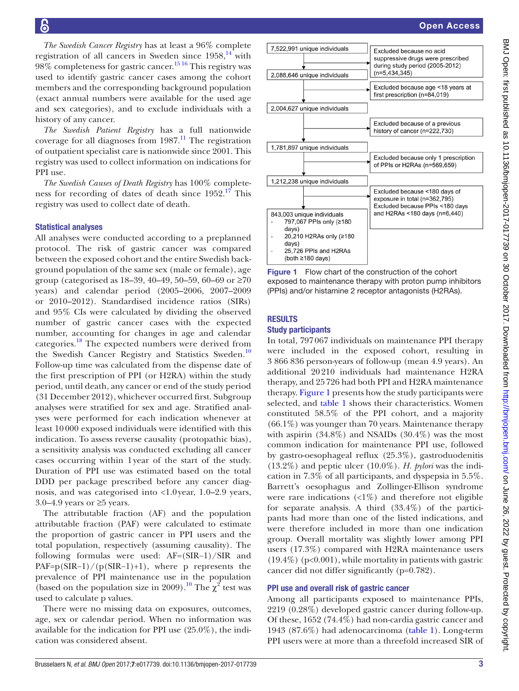*The Swedish Cancer Registry* has at least a 96% complete registration of all cancers in Sweden since  $1958$ ,<sup>14</sup> with  $98\%$  completeness for gastric cancer.<sup>[15 16](#page-7-11)</sup> This registry was used to identify gastric cancer cases among the cohort members and the corresponding background population (exact annual numbers were available for the used age and sex categories), and to exclude individuals with a history of any cancer.

*The Swedish Patient Registry* has a full nationwide coverage for all diagnoses from  $1987<sup>11</sup>$ . The registration of outpatient specialist care is nationwide since 2001. This registry was used to collect information on indications for PPI use.

*The Swedish Causes of Death Registry* has 100% completeness for recording of dates of death since 1952.<sup>17</sup> This registry was used to collect date of death.

#### Statistical analyses

All analyses were conducted according to a preplanned protocol. The risk of gastric cancer was compared between the exposed cohort and the entire Swedish background population of the same sex (male or female), age group (categorised as  $18-39$ ,  $40-49$ ,  $50-59$ ,  $60-69$  or  $\geq 70$ years) and calendar period (2005–2006, 2007–2009 or 2010–2012). Standardised incidence ratios (SIRs) and 95% CIs were calculated by dividing the observed number of gastric cancer cases with the expected number, accounting for changes in age and calendar categories.[18](#page-7-13) The expected numbers were derived from the Swedish Cancer Registry and Statistics Sweden.<sup>[10](#page-7-6)</sup> Follow-up time was calculated from the dispense date of the first prescription of PPI (or H2RA) within the study period, until death, any cancer or end of the study period (31 December 2012), whichever occurred first. Subgroup analyses were stratified for sex and age. Stratified analyses were performed for each indication whenever at least 10 000 exposed individuals were identified with this indication. To assess reverse causality (protopathic bias), a sensitivity analysis was conducted excluding all cancer cases occurring within 1 year of the start of the study. Duration of PPI use was estimated based on the total DDD per package prescribed before any cancer diagnosis, and was categorised into <1.0 year, 1.0–2.9 years, 3.0–4.9 years or  $\geq$ 5 years.

The attributable fraction (AF) and the population attributable fraction (PAF) were calculated to estimate the proportion of gastric cancer in PPI users and the total population, respectively (assuming causality). The following formulas were used: AF=(SIR−1)/SIR and  $PAF=p(SIR-1)/(p(SIR-1)+1)$ , where p represents the prevalence of PPI maintenance use in the population (based on the population size in 2009).<sup>10</sup> The  $\chi^2$  test was used to calculate p values.

There were no missing data on exposures, outcomes, age, sex or calendar period. When no information was available for the indication for PPI use (25.0%), the indication was considered absent.



| 7,522,991 unique individuals                                   | Excluded because no acid<br>suppressive drugs were prescribed<br>during study period (2005-2012)<br>$(n=5, 434, 345)$ |
|----------------------------------------------------------------|-----------------------------------------------------------------------------------------------------------------------|
| 2,088,646 unique individuals                                   |                                                                                                                       |
|                                                                | Excluded because age <18 years at<br>first prescription (n=84,019)                                                    |
| 2,004,627 unique individuals                                   |                                                                                                                       |
|                                                                | Excluded because of a previous<br>history of cancer (n=222,730)                                                       |
|                                                                |                                                                                                                       |
| 1,781,897 unique individuals                                   |                                                                                                                       |
|                                                                | Excluded because only 1 prescription<br>of PPIs or H2RAs (n=569,659)                                                  |
| 1,212,238 unique individuals                                   |                                                                                                                       |
|                                                                | Excluded because <180 days of<br>exposure in total (n=362,795)<br>Excluded because PPIs <180 days                     |
| 843,003 unique individuals<br>797,067 PPIs only (≥180<br>days) | and H2RAs <180 days (n=6,440)                                                                                         |
| 20,210 H2RAs only (≥180<br>days)                               |                                                                                                                       |
| 25.726 PPIs and H2RAs<br>(both ≥180 davs)                      |                                                                                                                       |

<span id="page-2-0"></span>Figure 1 Flow chart of the construction of the cohort exposed to maintenance therapy with proton pump inhibitors (PPIs) and/or histamine 2 receptor antagonists (H2RAs).

# **RESULTS**

# Study participants

In total, 797067 individuals on maintenance PPI therapy were included in the exposed cohort, resulting in 3 866 836 person-years of follow-up (mean 4.9 years). An additional 20210 individuals had maintenance H2RA therapy, and 25726 had both PPI and H2RA maintenance therapy. [Figure](#page-2-0) 1 presents how the study participants were selected, and [table](#page-3-0) 1 shows their characteristics. Women constituted 58.5% of the PPI cohort, and a majority (66.1%) was younger than 70 years. Maintenance therapy with aspirin  $(34.8\%)$  and NSAIDs  $(30.4\%)$  was the most common indication for maintenance PPI use, followed by gastro-oesophageal reflux (25.3%), gastroduodenitis (13.2%) and peptic ulcer (10.0%). *H. pylori* was the indication in 7.3% of all participants, and dyspepsia in 5.5%. Barrett's oesophagus and Zollinger-Ellison syndrome were rare indications  $\langle 1\% \rangle$  and therefore not eligible for separate analysis. A third (33.4%) of the participants had more than one of the listed indications, and were therefore included in more than one indication group. Overall mortality was slightly lower among PPI users (17.3%) compared with H2RA maintenance users  $(19.4\%)$  (p<0.001), while mortality in patients with gastric cancer did not differ significantly (p=0.782).

### PPI use and overall risk of gastric cancer

Among all participants exposed to maintenance PPIs, 2219 (0.28%) developed gastric cancer during follow-up. Of these, 1652 (74.4%) had non-cardia gastric cancer and 1943 (87.6%) had adenocarcinoma [\(table](#page-3-0) 1). Long-term PPI users were at more than a threefold increased SIR of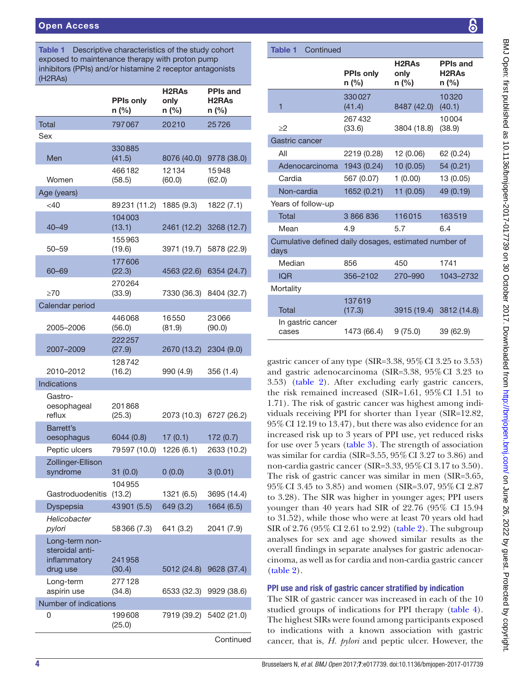<span id="page-3-0"></span>Table 1 Descriptive characteristics of the study cohort exposed to maintenance therapy with proton pump inhibitors (PPIs) and/or histamine 2 receptor antagonists (H2RAs)

|                         | <b>PPIs only</b><br>n (%) | H <sub>2</sub> RA <sub>s</sub><br>only<br>n (%) | <b>PPIs and</b><br>H <sub>2</sub> RA <sub>s</sub><br>n (%) |
|-------------------------|---------------------------|-------------------------------------------------|------------------------------------------------------------|
| <b>Total</b>            | 797067                    | 20210                                           | 25726                                                      |
| Sex                     |                           |                                                 |                                                            |
|                         | 330885                    |                                                 |                                                            |
| Men                     | (41.5)                    | 8076 (40.0)                                     | 9778 (38.0)                                                |
|                         | 466182                    | 12134                                           | 15948                                                      |
| Women                   | (58.5)                    | (60.0)                                          | (62.0)                                                     |
| Age (years)<br>$<$ 40   |                           |                                                 |                                                            |
|                         | 89231 (11.2)<br>104003    | 1885 (9.3)                                      | 1822 (7.1)                                                 |
| 40–49                   | (13.1)                    | 2461 (12.2)                                     | 3268 (12.7)                                                |
|                         | 155963                    |                                                 |                                                            |
| 50–59                   | (19.6)                    | 3971 (19.7)                                     | 5878 (22.9)                                                |
|                         | 177606                    |                                                 |                                                            |
| 60–69                   | (22.3)                    | 4563 (22.6)                                     | 6354 (24.7)                                                |
| $\geq 70$               | 270264<br>(33.9)          | 7330 (36.3)                                     | 8404 (32.7)                                                |
| Calendar period         |                           |                                                 |                                                            |
|                         | 446068                    | 16550                                           | 23066                                                      |
| 2005-2006               | (56.0)                    | (81.9)                                          | (90.0)                                                     |
|                         | 222257                    |                                                 |                                                            |
| 2007-2009               | (27.9)                    | 2670 (13.2)                                     | 2304 (9.0)                                                 |
| 2010-2012               | 128742<br>(16.2)          | 990 (4.9)                                       | 356 (1.4)                                                  |
| Indications             |                           |                                                 |                                                            |
| Gastro-                 |                           |                                                 |                                                            |
| oesophageal             | 201868                    |                                                 |                                                            |
| reflux                  | (25.3)                    | 2073 (10.3)                                     | 6727 (26.2)                                                |
| Barrett's<br>oesophagus | 6044 (0.8)                | 17(0.1)                                         | 172(0.7)                                                   |
| Peptic ulcers           | 79597 (10.0)              | 1226 (6.1)                                      | 2633 (10.2)                                                |
| Zollinger-Ellison       |                           |                                                 |                                                            |
| syndrome                | 31 (0.0)                  | 0(0.0)                                          | 3(0.01)                                                    |
|                         | 104955                    |                                                 |                                                            |
| Gastroduodenitis        | (13.2)                    | 1321 (6.5)                                      | 3695 (14.4)                                                |
| Dyspepsia               | 43901 (5.5)               | 649 (3.2)                                       | 1664 (6.5)                                                 |
| Helicobacter<br>pylori  | 58366 (7.3)               | 641 (3.2)                                       | 2041 (7.9)                                                 |
| Long-term non-          |                           |                                                 |                                                            |
| steroidal anti-         |                           |                                                 |                                                            |
| inflammatory            | 241958                    |                                                 |                                                            |
| drug use<br>Long-term   | (30.4)<br>277128          | 5012 (24.8)                                     | 9628 (37.4)                                                |
| aspirin use             | (34.8)                    | 6533 (32.3)                                     | 9929 (38.6)                                                |
| Number of indications   |                           |                                                 |                                                            |
| 0                       | 199608                    | 7919 (39.2)                                     | 5402 (21.0)                                                |
|                         | (25.0)                    |                                                 |                                                            |

**Continued** 

| Continued<br><b>Table 1</b>                                   |                             |                                                 |                                                            |
|---------------------------------------------------------------|-----------------------------|-------------------------------------------------|------------------------------------------------------------|
|                                                               |                             |                                                 |                                                            |
|                                                               | <b>PPIs only</b><br>$n$ (%) | H <sub>2</sub> RA <sub>s</sub><br>only<br>n (%) | <b>PPIs and</b><br>H <sub>2</sub> RA <sub>s</sub><br>n (%) |
| 1                                                             | 330027<br>(41.4)            | 8487 (42.0)                                     | 10320<br>(40.1)                                            |
| $\geq$ 2                                                      | 267432<br>(33.6)            | 3804 (18.8)                                     | 10004<br>(38.9)                                            |
| Gastric cancer                                                |                             |                                                 |                                                            |
| All                                                           | 2219 (0.28)                 | 12 (0.06)                                       | 62 (0.24)                                                  |
| Adenocarcinoma                                                | 1943 (0.24)                 | 10 (0.05)                                       | 54 (0.21)                                                  |
| Cardia                                                        | 567 (0.07)                  | 1(0.00)                                         | 13 (0.05)                                                  |
| Non-cardia                                                    | 1652 (0.21)                 | 11(0.05)                                        | 49 (0.19)                                                  |
| Years of follow-up                                            |                             |                                                 |                                                            |
| <b>Total</b>                                                  | 3 866 836                   | 116015                                          | 163519                                                     |
| Mean                                                          | 4.9                         | 5.7                                             | 6.4                                                        |
| Cumulative defined daily dosages, estimated number of<br>days |                             |                                                 |                                                            |
| Median                                                        | 856                         | 450                                             | 1741                                                       |
| <b>IQR</b>                                                    | 356-2102                    | 270-990                                         | 1043-2732                                                  |
| Mortality                                                     |                             |                                                 |                                                            |
| Total                                                         | 137619<br>(17.3)            | 3915 (19.4)                                     | 3812 (14.8)                                                |
| In gastric cancer<br>cases                                    | 1473 (66.4)                 | 9(75.0)                                         | 39 (62.9)                                                  |

gastric cancer of any type (SIR= $3.38$ ,  $95\%$  CI  $3.25$  to  $3.53$ ) and gastric adenocarcinoma (SIR=3.38, 95%CI 3.23 to 3.53) [\(table](#page-4-0) 2). After excluding early gastric cancers, the risk remained increased (SIR=1.61, 95%CI 1.51 to 1.71). The risk of gastric cancer was highest among individuals receiving PPI for shorter than 1year (SIR=12.82, 95%CI 12.19 to 13.47), but there was also evidence for an increased risk up to 3 years of PPI use, yet reduced risks for use over 5 years ([table](#page-4-1) 3). The strength of association was similar for cardia (SIR=3.55, 95%CI 3.27 to 3.86) and non-cardia gastric cancer (SIR=3.33, 95%CI 3.17 to 3.50). The risk of gastric cancer was similar in men (SIR=3.65, 95%CI 3.45 to 3.85) and women (SIR=3.07, 95%CI 2.87 to 3.28). The SIR was higher in younger ages; PPI users younger than 40 years had SIR of 22.76 (95% CI 15.94 to 31.52), while those who were at least 70 years old had SIR of 2.76 (95% CI 2.61 to 2.92) [\(table](#page-4-0) 2). The subgroup analyses for sex and age showed similar results as the overall findings in separate analyses for gastric adenocarcinoma, as well as for cardia and non-cardia gastric cancer [\(table](#page-4-0) 2).

# PPI use and risk of gastric cancer stratified by indication

The SIR of gastric cancer was increased in each of the 10 studied groups of indications for PPI therapy [\(table](#page-5-0) 4). The highest SIRs were found among participants exposed to indications with a known association with gastric cancer, that is, *H. pylori* and peptic ulcer. However, the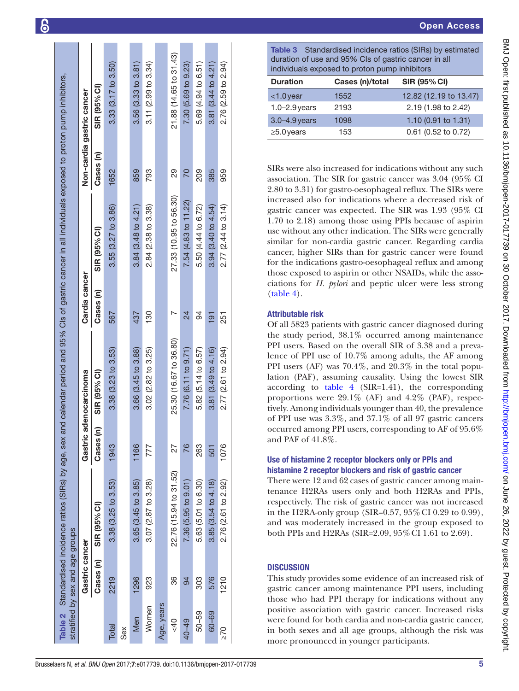|                 | Cases (n)      | SIR (95% CI)              | Cases (n)         | SIR (95% CI)              | Cases (n)      | SIR (95% CI)                                                 | Cases (n) | SIR (95% CI)           |
|-----------------|----------------|---------------------------|-------------------|---------------------------|----------------|--------------------------------------------------------------|-----------|------------------------|
| Total           | 2219           | 3.38 (3.25 to 3.53)       | 1943              | 3.38(3.23 to 3.53)        | 567            | 3.55 (3.27 to 3.86)                                          | 1652      | 3.33(3.17 to 3.50)     |
| Sex             |                |                           |                   |                           |                |                                                              |           |                        |
| Men             | 1296           | $3.65(3.45)$ to $3.85$ )  | 1166              | 3.66 (3.45 to 3.88)       | 437            | 3.84(3.48 to 4.21)                                           | 859       | 3.56(3.33 to 3.81)     |
| Women           | 923            | 3.07 (2.87 to 3.28)       | 777               | $3.02$ $(2.82$ to $3.25)$ | $\frac{80}{2}$ | 2.84 (2.38 to 3.38)                                          | 793       | 3.11(2.99 to 3.34)     |
| Age, years      |                |                           |                   |                           |                |                                                              |           |                        |
| 40              | 86             | 22.76 (15.94 to 31.52)    | 27                | 25.30 (16.67 to 36.80)    |                | 27.33 (10.95 to 56.30)                                       | 29        | 21.88 (14.65 to 31.43) |
| 40-49           | 94             | 7.36 (5.95 to 9.01)       | 76                | 7.76 (6.11 to 9.71)       | 24             | 7.54 (4.83 to 11.22)                                         | 20        | 7.30(5.69 to 9.23)     |
| 50-59           | 303            | 5.63 (5.01 to 6.30)       | 263               | 5.82 (5.14 to 6.57)       | 94             | 5.50 (4.44 to 6.72)                                          | 209       | 5.69 (4.94 to 6.51)    |
| $60 - 69$       | 576            | 3.85 (3.54 to 4.18)       | 501               | 3.81(3.49 to 4.16)        | $\overline{5}$ | 3.94(3.40 to 4.54)                                           | 385       | 3.81(3.44 to 4.21)     |
| $2\overline{6}$ | 1210           | 2.76 (2.61 to 2.92)       | 1076              | 2.77 (2.61 to 2.94)       | 251            | 2.77 (2.44 to 3.14)                                          | 959       | 2.76 (2.59 to 2.94)    |
|                 |                |                           |                   |                           |                |                                                              |           |                        |
|                 |                |                           |                   |                           |                |                                                              |           |                        |
|                 |                |                           |                   |                           |                |                                                              |           |                        |
|                 | D T g d p w ir | <b>U</b> h T te re in a b | $\mathbf{o}$<br>a |                           |                | S a a 2 ir gō 1 u si că fă th ci (」 AC th P le P le a p ti o |           |                        |

Cls of gastric cancer in all individuals exposed to proton pump inhibitors,

95%

Non-cardia gastric cancer

Cardia cancer

<span id="page-4-1"></span>Table 3 Standardised incidence ratios (SIRs) by estimated duration of use and 95% CIs of gastric cancer in all individuals exposed to proton pump inhibitors

| <b>Duration</b>   | Cases (n)/total | <b>SIR (95% CI)</b>    |
|-------------------|-----------------|------------------------|
| $<$ 1.0 year      | 1552            | 12.82 (12.19 to 13.47) |
| $1.0 - 2.9$ years | 2193            | 2.19 (1.98 to 2.42)    |
| $3.0 - 4.9$ years | 1098            | 1.10 $(0.91$ to 1.31)  |
| $\geq$ 5.0 years  | 153             | 0.61 (0.52 to 0.72)    |
|                   |                 |                        |

SIRs were also increased for indications without any such ssociation. The SIR for gastric cancer was 3.04 (95% CI 2.80 to 3.31) for gastro-oesophageal reflux. The SIRs were increased also for indications where a decreased risk of gastric cancer was expected. The SIR was 1.93 (95% CI 1.70 to 2.18) among those using PPIs because of aspirin se without any other indication. The SIRs were generally imilar for non-cardia gastric cancer. Regarding cardia ancer, higher SIRs than for gastric cancer were found for the indications gastro-oesophageal reflux and among those exposed to aspirin or other NSAIDs, while the asso iations for *H. pylori* and peptic ulcer were less strong [\(table](#page-5-0) 4).

# Attributable risk

Of all 5823 patients with gastric cancer diagnosed during he study period, 38.1% occurred among maintenance PPI users. Based on the overall SIR of 3.38 and a prevalence of PPI use of 10.7% among adults, the AF among PPI users (AF) was 70.4%, and 20.3% in the total population (PAF), assuming causality. Using the lowest SIR according to [table](#page-5-0) 4 (SIR=1.41), the corresponding proportions were 29.1% (AF) and 4.2% (PAF), respec tively. Among individuals younger than 40, the prevalence of PPI use was 3.3%, and 37.1% of all 97 gastric cancers occurred among PPI users, corresponding to AF of 95.6% and PAF of 41.8%.

# se of histamine 2 receptor blockers only or PPIs and istamine 2 receptor blockers and risk of gastric cancer

There were 12 and 62 cases of gastric cancer among main enance H2RAs users only and both H2RAs and PPIs, espectively. The risk of gastric cancer was not increased in the H2RA-only group (SIR=0.57,  $95\%$  CI 0.29 to 0.99), and was moderately increased in the group exposed to both PPIs and H2RAs (SIR=2.09, 95% CI 1.61 to 2.69).

# **DISCUSSION**

<span id="page-4-0"></span>This study provides some evidence of an increased risk of gastric cancer among maintenance PPI users, including those who had PPI therapy for indications without any positive association with gastric cancer. Increased risks were found for both cardia and non-cardia gastric cancer, in both sexes and all age groups, although the risk was more pronounced in younger participants.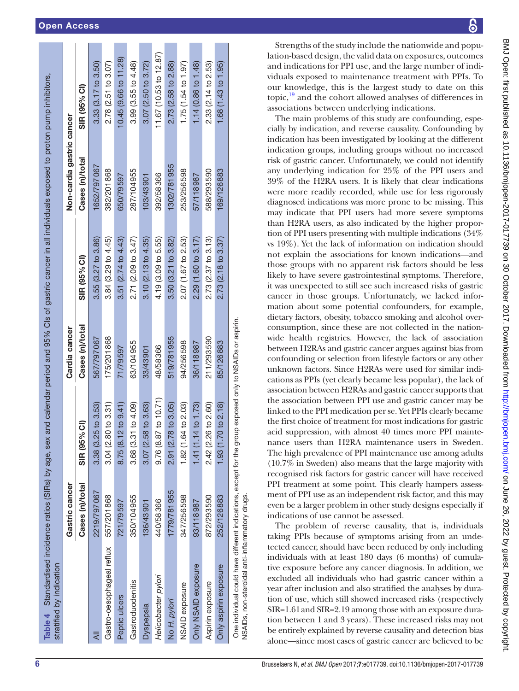| Table 4 Standardised incidence ratios (SIRs) by age, sex<br>stratified by indication                     |                 |                               |                 | and calendar period and 95% Cls of gastric cancer in all individuals exposed to proton pump inhibitors, |                           |                          |
|----------------------------------------------------------------------------------------------------------|-----------------|-------------------------------|-----------------|---------------------------------------------------------------------------------------------------------|---------------------------|--------------------------|
|                                                                                                          | Gastric cancer  |                               | Cardia cancer   |                                                                                                         | Non-cardia gastric cancer |                          |
|                                                                                                          | Cases (n)/total | SIR (95% CI)                  | Cases (n)/total | SIR (95% CI)                                                                                            | Cases (n)/total           | SIR (95% CI)             |
|                                                                                                          | 2219/797067     | $3.38(3.25 \text{ to } 3.53)$ | 567/797067      | $3.55(3.27)$ to $3.86$                                                                                  | 1652/797067               | 3.33(3.17 to 3.50)       |
| Gastro-oesophageal reflux                                                                                | 557/201868      | 3.04 (2.80 to 3.31)           | 175/201868      | 3.84(3.29 to 4.45)                                                                                      | 382/201868                | 2.78 (2.51 to 3.07)      |
| Peptic ulcers                                                                                            | 721/79597       | $2$ to $9.41$ )<br>8.75 (8.1  | 71/79597        | 3.51(2.74 to 4.43)                                                                                      | 650/79597                 | 10.45 (9.66 to 11.28)    |
| Gastroduodenitis                                                                                         | 350/104955      | 3.68 (3.31 to 4.09)           | 63/104955       | 2.71 (2.09 to 3.47)                                                                                     | 287/104955                | 3.99 (3.55 to 4.48)      |
| Dyspepsia                                                                                                | 136/43901       | $3.07(2.58 \text{ to } 3.63)$ | 33/43901        | 3.10(2.13 to 4.35)                                                                                      | 103/43901                 | $3.07$ (2.50 to $3.72$ ) |
| Helicobacter pylori                                                                                      | 440/58366       | $9.76(8.87)$ to $10.71$ )     | 48/58366        | 4.19 (3.09 to 5.55)                                                                                     | 392/58366                 | 11.67 (10.53 to 12.87)   |
| No H. pylori                                                                                             | 1779/781955     | 2.91 (2.78 to 3.05)           | 519/781955      | 3.50(3.21 to 3.82)                                                                                      | 1302/781955               | 2.73 (2.58 to 2.88)      |
| NSAID exposure                                                                                           | 347/256598      | 1.82 (1.64 to 2.03)           | 94/256598       | 2.07 (1.67 to 2.53)                                                                                     | 253/256598                | 1.75(1.54 to 1.97)       |
| Only NSAID exposure                                                                                      | 93/118987       | 1.41 (1.14 to 1.73)           | 36/118987       | 2.29 (1.60 to 3.17)                                                                                     | 57/118987                 | 1.14 (0.86 to 1.48)      |
| Aspirin exposure                                                                                         | 872/293590      | 2.42 (2.26 to 2.60)           | 211/293590      | $2.73(2.37)$ to 3.13)                                                                                   | 588/293590                | 2.33 (2.14 to 2.53)      |
| Only aspirin exposure                                                                                    | 252/126883      | 1.93 (1.70 to 2.18)           | 85/126883       | $2.73(2.18$ to $3.37)$                                                                                  | 169/126883                | 1.68(1.43 to 1.95)       |
| One individual could have different indications, except for the group exposed only to NSAIDs or aspirin. |                 |                               |                 |                                                                                                         |                           |                          |

Strengths of the study include the nationwide and popu lation-based design, the valid data on exposures, outcomes and indications for PPI use, and the large number of indi viduals exposed to maintenance treatment with PPIs. To our knowledge, this is the largest study to date on this topic[,19](#page-7-14) and the cohort allowed analyses of differences in associations between underlying indications.

The main problems of this study are confounding, especially by indication, and reverse causality. Confounding by indication has been investigated by looking at the different indication groups, including groups without no increased risk of gastric cancer. Unfortunately, we could not identify any underlying indication for 25% of the PPI users and 39% of the H2RA users. It is likely that clear indications were more readily recorded, while use for less rigorously diagnosed indications was more prone to be missing. This may indicate that PPI users had more severe symptoms than H2RA users, as also indicated by the higher proportion of PPI users presenting with multiple indications (34% vs 19%). Yet the lack of information on indication should not explain the associations for known indications—and those groups with no apparent risk factors should be less likely to have severe gastrointestinal symptoms. Therefore, it was unexpected to still see such increased risks of gastric cancer in those groups. Unfortunately, we lacked information about some potential confounders, for example, dietary factors, obesity, tobacco smoking and alcohol overconsumption, since these are not collected in the nationwide health registries. However, the lack of association between H2RAs and gastric cancer argues against bias from confounding or selection from lifestyle factors or any other unknown factors. Since H2RAs were used for similar indi cations as PPIs (yet clearly became less popular), the lack of association between H2RAs and gastric cancer supports that the association between PPI use and gastric cancer may be linked to the PPI medication per se. Yet PPIs clearly became the first choice of treatment for most indications for gastric acid suppression, with almost 40 times more PPI mainte nance users than H2RA maintenance users in Sweden. The high prevalence of PPI maintenance use among adults (10.7% in Sweden) also means that the large majority with recognised risk factors for gastric cancer will have received PPI treatment at some point. This clearly hampers assessment of PPI use as an independent risk factor, and this may even be a larger problem in other study designs especially if indications of use cannot be assessed.

The problem of reverse causality, that is, individuals taking PPIs because of symptoms arising from an undetected cancer, should have been reduced by only including individuals with at least 180 days (6 months) of cumulative exposure before any cancer diagnosis. In addition, we excluded all individuals who had gastric cancer within a year after inclusion and also stratified the analyses by duration of use, which still showed increased risks (respectively SIR=1.61and SIR=2.19 among those with an exposure duration between 1 and 3 years). These increased risks may not be entirely explained by reverse causality and detection bias alone—since most cases of gastric cancer are believed to be

NSAIDs, non-steroidal anti-inflammatory drugs.

<span id="page-5-0"></span>NSAID<sub>S</sub>

non-steroidal anti-inflammatory drugs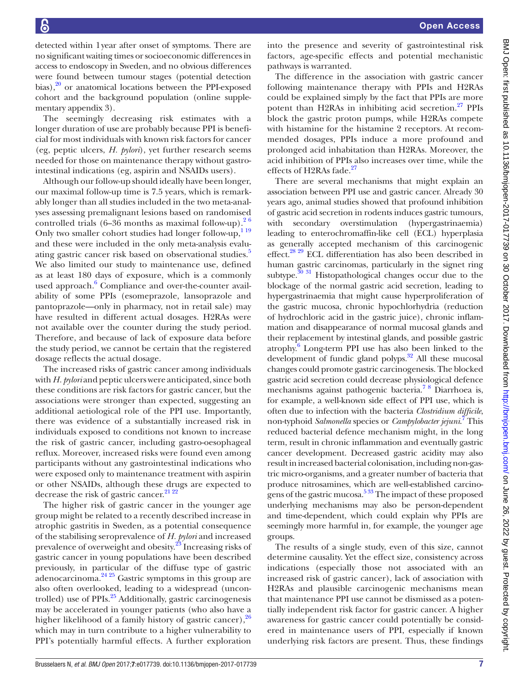detected within 1year after onset of symptoms. There are no significant waiting times or socioeconomic differences in access to endoscopy in Sweden, and no obvious differences were found between tumour stages (potential detection bias), $20$  or anatomical locations between the PPI-exposed cohort and the background population (online supplementary [appendix 3](https://dx.doi.org/10.1136/bmjopen-2017-017739)).

The seemingly decreasing risk estimates with a longer duration of use are probably because PPI is beneficial for most individuals with known risk factors for cancer (eg, peptic ulcers, *H. pylori*), yet further research seems needed for those on maintenance therapy without gastrointestinal indications (eg, aspirin and NSAIDs users).

Although our follow-up should ideally have been longer, our maximal follow-up time is 7.5 years, which is remarkably longer than all studies included in the two meta-analyses assessing premalignant lesions based on randomised controlled trials  $(6-36$  months as maximal follow-up).<sup>2</sup> Only two smaller cohort studies had longer follow-up,<sup>119</sup> and these were included in the only meta-analysis evalu-ating gastric cancer risk based on observational studies.<sup>[5](#page-7-5)</sup> We also limited our study to maintenance use, defined as at least 180 days of exposure, which is a commonly used approach.<sup>6</sup> Compliance and over-the-counter availability of some PPIs (esomeprazole, lansoprazole and pantoprazole—only in pharmacy, not in retail sale) may have resulted in different actual dosages. H2RAs were not available over the counter during the study period. Therefore, and because of lack of exposure data before the study period, we cannot be certain that the registered dosage reflects the actual dosage.

The increased risks of gastric cancer among individuals with *H. pylori* and peptic ulcers were anticipated, since both these conditions are risk factors for gastric cancer, but the associations were stronger than expected, suggesting an additional aetiological role of the PPI use. Importantly, there was evidence of a substantially increased risk in individuals exposed to conditions not known to increase the risk of gastric cancer, including gastro-oesophageal reflux. Moreover, increased risks were found even among participants without any gastrointestinal indications who were exposed only to maintenance treatment with aspirin or other NSAIDs, although these drugs are expected to decrease the risk of gastric cancer.<sup>[21 22](#page-7-16)</sup>

The higher risk of gastric cancer in the younger age group might be related to a recently described increase in atrophic gastritis in Sweden, as a potential consequence of the stabilising seroprevalence of *H. pylori* and increased prevalence of overweight and obesity[.23](#page-7-17) Increasing risks of gastric cancer in young populations have been described previously, in particular of the diffuse type of gastric adenocarcinoma[.24 25](#page-7-18) Gastric symptoms in this group are also often overlooked, leading to a widespread (uncontrolled) use of PPIs.<sup>25</sup> Additionally, gastric carcinogenesis may be accelerated in younger patients (who also have a higher likelihood of a family history of gastric cancer),  $26$ which may in turn contribute to a higher vulnerability to PPI's potentially harmful effects. A further exploration

into the presence and severity of gastrointestinal risk factors, age-specific effects and potential mechanistic pathways is warranted.

The difference in the association with gastric cancer following maintenance therapy with PPIs and H2RAs could be explained simply by the fact that PPIs are more potent than H2RAs in inhibiting acid secretion.<sup>27</sup> PPIs block the gastric proton pumps, while H2RAs compete with histamine for the histamine 2 receptors. At recommended dosages, PPIs induce a more profound and prolonged acid inhabitation than H2RAs. Moreover, the acid inhibition of PPIs also increases over time, while the effects of H2RAs fade. $27$ 

There are several mechanisms that might explain an association between PPI use and gastric cancer. Already 30 years ago, animal studies showed that profound inhibition of gastric acid secretion in rodents induces gastric tumours, with secondary overstimulation (hypergastrinaemia) leading to enterochromaffin-like cell (ECL) hyperplasia as generally accepted mechanism of this carcinogenic effect.<sup>[28 29](#page-7-22)</sup> ECL differentiation has also been described in human gastric carcinomas, particularly in the signet ring subtype. $30\frac{3}{1}$  Histopathological changes occur due to the blockage of the normal gastric acid secretion, leading to hypergastrinaemia that might cause hyperproliferation of the gastric mucosa, chronic hypochlorhydria (reduction of hydrochloric acid in the gastric juice), chronic inflammation and disappearance of normal mucosal glands and their replacement by intestinal glands, and possible gastric atrophy[.6](#page-7-4) Long-term PPI use has also been linked to the development of fundic gland polyps.<sup>32</sup> All these mucosal changes could promote gastric carcinogenesis. The blocked gastric acid secretion could decrease physiological defence mechanisms against pathogenic bacteria.<sup>78</sup> Diarrhoea is, for example, a well-known side effect of PPI use, which is often due to infection with the bacteria *Clostridium difficile*, non-typhoid *Salmonella* species or *Campylobacter jejuni*. [7](#page-7-25) This reduced bacterial defence mechanism might, in the long term, result in chronic inflammation and eventually gastric cancer development. Decreased gastric acidity may also result in increased bacterial colonisation, including non-gastric micro-organisms, and a greater number of bacteria that produce nitrosamines, which are well-established carcinogens of the gastric mucosa. $533$  The impact of these proposed underlying mechanisms may also be person-dependent and time-dependent, which could explain why PPIs are seemingly more harmful in, for example, the younger age groups.

The results of a single study, even of this size, cannot determine causality. Yet the effect size, consistency across indications (especially those not associated with an increased risk of gastric cancer), lack of association with H2RAs and plausible carcinogenic mechanisms mean that maintenance PPI use cannot be dismissed as a potentially independent risk factor for gastric cancer. A higher awareness for gastric cancer could potentially be considered in maintenance users of PPI, especially if known underlying risk factors are present. Thus, these findings